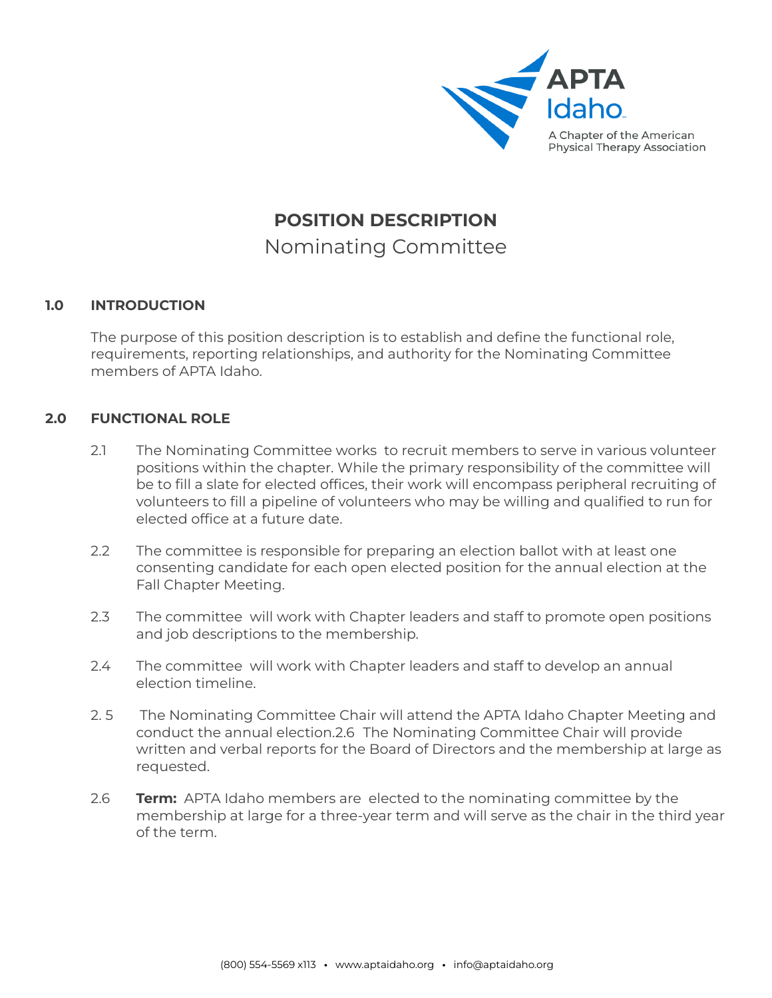

# **POSITION DESCRIPTION** Nominating Committee

# **1.0 INTRODUCTION**

The purpose of this position description is to establish and define the functional role, requirements, reporting relationships, and authority for the Nominating Committee members of APTA Idaho.

# **2.0 FUNCTIONAL ROLE**

- 2.1 The Nominating Committee works to recruit members to serve in various volunteer positions within the chapter. While the primary responsibility of the committee will be to fill a slate for elected offices, their work will encompass peripheral recruiting of volunteers to fill a pipeline of volunteers who may be willing and qualified to run for elected office at a future date.
- 2.2 The committee is responsible for preparing an election ballot with at least one consenting candidate for each open elected position for the annual election at the Fall Chapter Meeting.
- 2.3 The committee will work with Chapter leaders and staff to promote open positions and job descriptions to the membership.
- 2.4 The committee will work with Chapter leaders and staff to develop an annual election timeline.
- 2. 5 The Nominating Committee Chair will attend the APTA Idaho Chapter Meeting and conduct the annual election.2.6 The Nominating Committee Chair will provide written and verbal reports for the Board of Directors and the membership at large as requested.
- 2.6 **Term:** APTA Idaho members are elected to the nominating committee by the membership at large for a three-year term and will serve as the chair in the third year of the term.